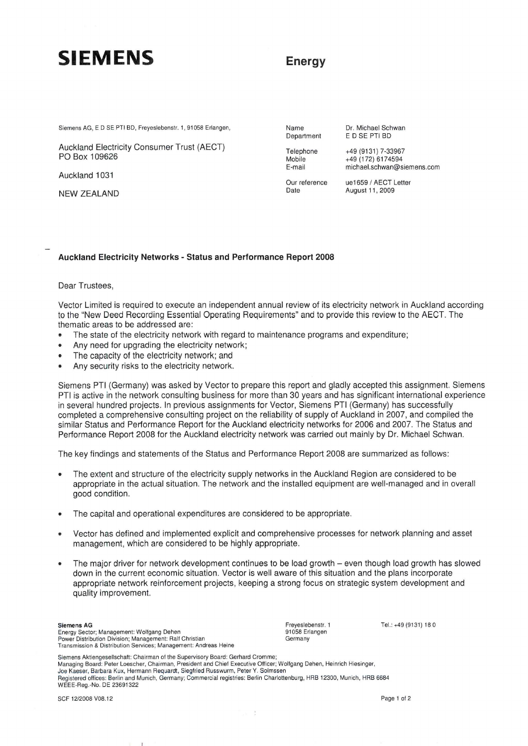## **SIEMENS**

### **Energy**

Siemens AG, E D SE PTI BD, Freyeslebenstr. 1, 91058 Erlangen,

Auckland Electricity Consumer Trust (AECT) PO Box 1 09626

Auckland 1031

NEW ZEALAND

Name Department

Telephone Mobile E-mail

Date

Our reference michael.schwan@siemens.com ue1659 / AECT Letter August 11, 2009

Dr. Michael Schwan ED SE PTI BD +49 (9131) 7-33967 +49 (172) 6174594

#### Auckland Electricity Networks - Status and Performance Report 2008

#### Dear Trustees,

Vector Limited is required to execute an independent annual review of its electricity network in Auckland according to the "New Deed Recording Essential Operating Requirements" and to provide this review to the AECT. The thematic areas to be addressed are:

- The state of the electricity network with regard to maintenance programs and expenditure;
- Any need for upgrading the electricity network;
- The capacity of the electricity network; and
- Any security risks to the electricity network.

Siemens PTI (Germany) was asked by Vector to prepare this report and gladly accepted this assignment. Siemens PTI is active in the network consulting business for more than 30 years and has significant international experience in several hundred projects. In previous assignments for Vector, Siemens PTI (Germany) has successfully completed a comprehensive consulting project on the reliability of supply of Auckland in 2007, and compiled the similar Status and Performance Report for the Auckland electricity networks for 2006 and 2007. The Status and Performance Report 2008 for the Auckland electricity network was carried out mainly by Dr. Michael Schwan.

The key findings and statements of the Status and Performance Report 2008 are summarized as follows:

- The extent and structure of the electricity supply networks in the Auckland Region are considered to be appropriate in the actual situation. The network and the installed equipment are well-managed and in overall good condition.
- The capital and operational expenditures are considered to be appropriate.
- Vector has defined and implemented explicit and comprehensive processes for network planning and asset management, which are considered to be highly appropriate.
- The major driver for network development continues to be load growth even though load growth has slowed down in the current economic situation. Vector is well aware of this situation and the plans incorporate appropriate network reinforcement projects, keeping a strong focus on strategic system development and quality improvement.

 $\lambda = 0$ 

Siemens AG Energy Sector; Management: Wolfgang Dehen Power Distribution Division; Management: Ralf Christian<br>Transmission & Distribution Services; Management: Andreas Heine

 $\mathbf{I}$ 

Freyeslebenstr. 1 91058 Erlangen Germany

Tel.: +49 (9131) 180

Siemens Aktiengesellschaft: Chairman of the Supervisory Board: Gerhard Cromme;<br>Managing Board: Peter Loescher, Chairman, President and Chief Executive Officer; Wolfgang Dehen, Heinrich Hiesinger,<br>Joe Kaeser, Barbara Kux, H Registered offices: Berlin and Munich, Germany; Commercial registries: Berlin Charlottenburg, HRB 12300, Munich, HRB 6684 WEEE·Reg.-No. DE 23691322

SCF 12/2008 V08.12 Page 1 of 2